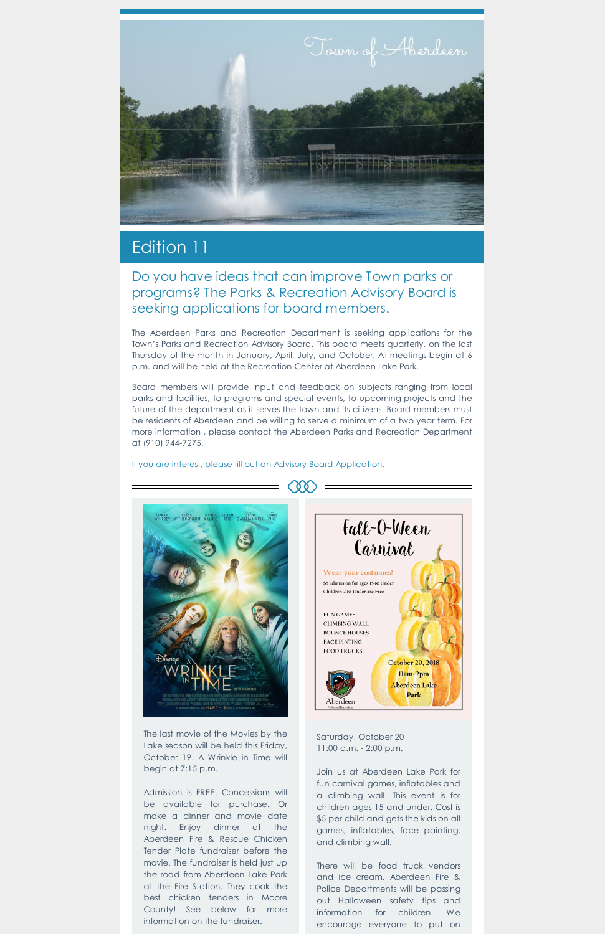

## Edition 11

## Do you have ideas that can improve Town parks or programs? The Parks & Recreation Advisory Board is seeking applications for board members.

The Aberdeen Parks and Recreation Department is seeking applications for the Town's Parks and Recreation Advisory Board. This board meets quarterly, on the last Thursday of the month in January, April, July, and October. All meetings begin at 6 p.m. and will be held at the Recreation Center at Aberdeen Lake Park.

Board members will provide input and feedback on subjects ranging from local parks and facilities, to programs and special events, to upcoming projects and the future of the department as it serves the town and its citizens. Board members must be residents of Aberdeen and be willing to serve a minimum of a two year term. For more information , please contact the Aberdeen Parks and Recreation Department at (910) 944-7275.

If you are interest, please fill out an Advisory Board [Application.](https://www.townofaberdeen.net/files/documents/document135023702092816.pdf)



The last movie of the Movies by the Lake season will be held this Friday, October 19. A Wrinkle in Time will begin at 7:15 p.m.

Admission is FREE. Concessions will be available for purchase. Or make a dinner and movie date night. Enjoy dinner at the Aberdeen Fire & Rescue Chicken Tender Plate fundraiser before the movie. The fundraiser is held just up the road from Aberdeen Lake Park at the Fire Station. They cook the best chicken tenders in Moore County! See below for more information on the fundraiser.



Saturday, October 20 11:00 a.m. - 2:00 p.m.

Join us at Aberdeen Lake Park for fun carnival games, inflatables and a climbing wall. This event is for children ages 15 and under. Cost is \$5 per child and gets the kids on all games, inflatables, face painting, and climbing wall.

There will be food truck vendors and ice cream. Aberdeen Fire & Police Departments will be passing out Halloween safety tips and information for children. We encourage everyone to put on